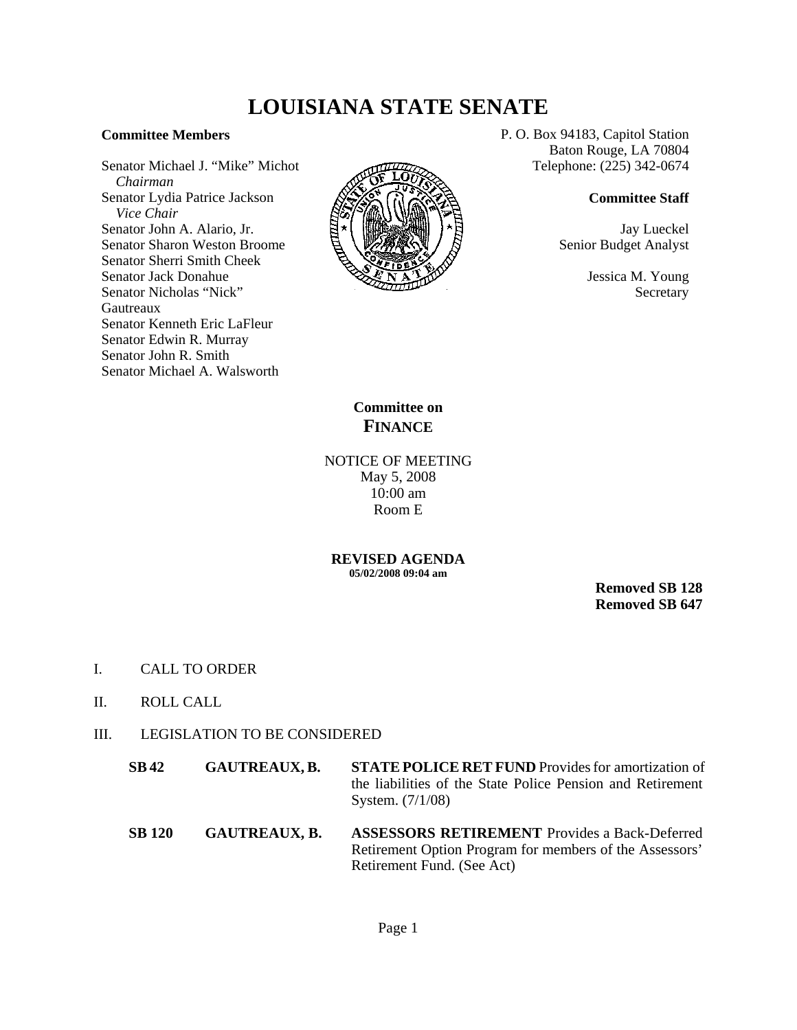## **LOUISIANA STATE SENATE**

## **Committee Members**

Senator Michael J. "Mike" Michot  *Chairman* Senator Lydia Patrice Jackson  *Vice Chair* Senator John A. Alario, Jr. Senator Sharon Weston Broome Senator Sherri Smith Cheek Senator Jack Donahue Senator Nicholas "Nick" Gautreaux Senator Kenneth Eric LaFleur Senator Edwin R. Murray Senator John R. Smith Senator Michael A. Walsworth



P. O. Box 94183, Capitol Station Baton Rouge, LA 70804 Telephone: (225) 342-0674

## **Committee Staff**

Jay Lueckel Senior Budget Analyst

> Jessica M. Young Secretary

**Committee on FINANCE**

NOTICE OF MEETING May 5, 2008 10:00 am Room E

**REVISED AGENDA 05/02/2008 09:04 am**

> **Removed SB 128 Removed SB 647**

- I. CALL TO ORDER
- II. ROLL CALL

## III. LEGISLATION TO BE CONSIDERED

- **SB 42 GAUTREAUX, B. STATE POLICE RET FUND** Provides for amortization of the liabilities of the State Police Pension and Retirement System. (7/1/08)
- **SB 120 GAUTREAUX, B. ASSESSORS RETIREMENT** Provides a Back-Deferred Retirement Option Program for members of the Assessors' Retirement Fund. (See Act)